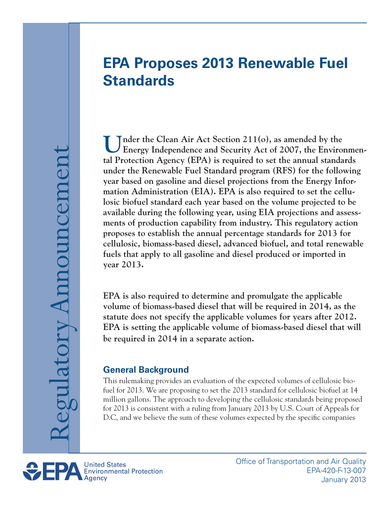## **EPA Proposes 2013 Renewable Fuel Standards**

Under the Clean Air Act Section 211(o), as amended by the **Energy Independence and Security Act of 2007**, the Environmen**tal Protection Agency (EPA) is required to set the annual standards under the Renewable Fuel Standard program (RFS) for the following year based on gasoline and diesel projections from the Energy Information Administration (EIA). EPA is also required to set the cellulosic biofuel standard each year based on the volume projected to be available during the following year, using EIA projections and assessments of production capability from industry. This regulatory action proposes to establish the annual percentage standards for 2013 for cellulosic, biomass-based diesel, advanced biofuel, and total renewable fuels that apply to all gasoline and diesel produced or imported in year 2013.**

**EPA is also required to determine and promulgate the applicable volume of biomass-based diesel that will be required in 2014, as the statute does not specify the applicable volumes for years after 2012. EPA is setting the applicable volume of biomass-based diesel that will be required in 2014 in a separate action.**

## **General Background**

This rulemaking provides an evaluation of the expected volumes of cellulosic biofuel for 2013. We are proposing to set the 2013 standard for cellulosic biofuel at 14 million gallons. The approach to developing the cellulosic standards being proposed for 2013 is consistent with a ruling from January 2013 by U.S. Court of Appeals for D.C, and we believe the sum of these volumes expected by the specific companies

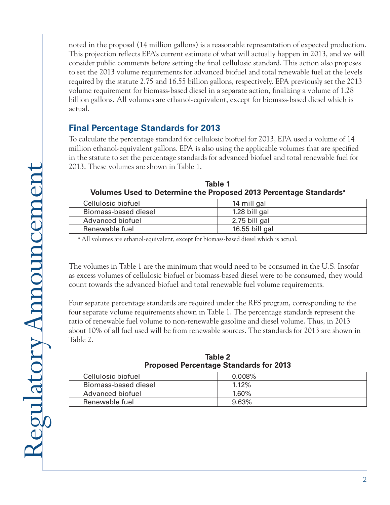noted in the proposal (14 million gallons) is a reasonable representation of expected production. This projection reflects EPA's current estimate of what will actually happen in 2013, and we will consider public comments before setting the final cellulosic standard. This action also proposes to set the 2013 volume requirements for advanced biofuel and total renewable fuel at the levels required by the statute 2.75 and 16.55 billion gallons, respectively. EPA previously set the 2013 volume requirement for biomass-based diesel in a separate action, finalizing a volume of 1.28 billion gallons. All volumes are ethanol-equivalent, except for biomass-based diesel which is actual.

## **Final Percentage Standards for 2013**

To calculate the percentage standard for cellulosic biofuel for 2013, EPA used a volume of 14 million ethanol-equivalent gallons. EPA is also using the applicable volumes that are specified in the statute to set the percentage standards for advanced biofuel and total renewable fuel for 2013. These volumes are shown in Table 1.

| Cellulosic biofuel   | 14 mill gal    |
|----------------------|----------------|
| Biomass-based diesel | 1.28 bill gal  |
| Advanced biofuel     | 2.75 bill gal  |
| Renewable fuel       | 16.55 bill gal |
|                      |                |

| Table 1                                                                       |
|-------------------------------------------------------------------------------|
| Volumes Used to Determine the Proposed 2013 Percentage Standards <sup>a</sup> |

a All volumes are ethanol-equivalent, except for biomass-based diesel which is actual.

The volumes in Table 1 are the minimum that would need to be consumed in the U.S. Insofar as excess volumes of cellulosic biofuel or biomass-based diesel were to be consumed, they would count towards the advanced biofuel and total renewable fuel volume requirements.

Four separate percentage standards are required under the RFS program, corresponding to the four separate volume requirements shown in Table 1. The percentage standards represent the ratio of renewable fuel volume to non-renewable gasoline and diesel volume. Thus, in 2013 about 10% of all fuel used will be from renewable sources. The standards for 2013 are shown in Table 2.

| <b>Proposed Percentage Standards for 2013</b> |           |  |
|-----------------------------------------------|-----------|--|
| Cellulosic biofuel                            | $0.008\%$ |  |
| Biomass-based diesel                          | $1.12\%$  |  |
| Advanced biofuel                              | 1.60%     |  |
| Renewable fuel                                | 9.63%     |  |

**Table 2 Proposed Percentage Standards for 2013**